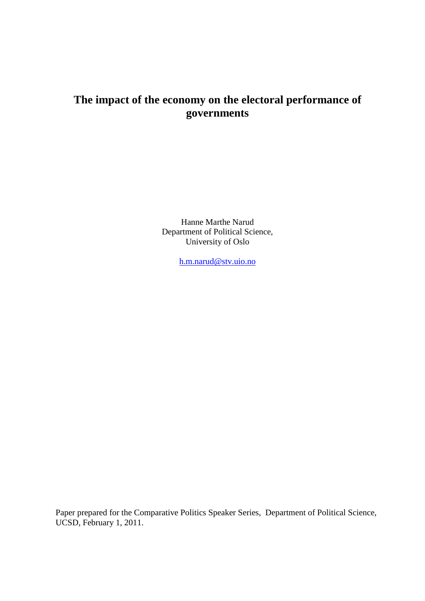# **The impact of the economy on the electoral performance of governments**

Hanne Marthe Narud Department of Political Science, University of Oslo

[h.m.narud@stv.uio.no](mailto:h.m.narud@stv.uio.no)

Paper prepared for the Comparative Politics Speaker Series, Department of Political Science, UCSD, February 1, 2011.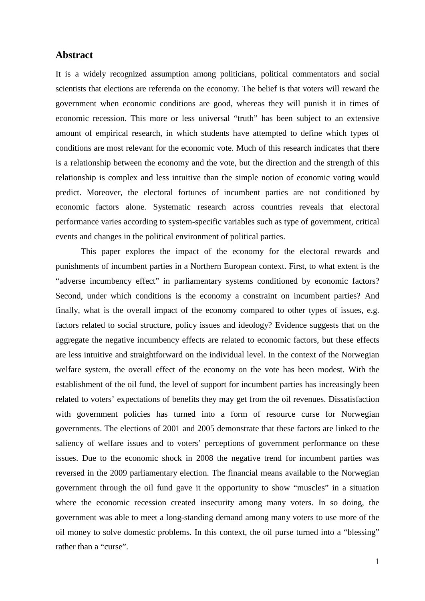### **Abstract**

It is a widely recognized assumption among politicians, political commentators and social scientists that elections are referenda on the economy. The belief is that voters will reward the government when economic conditions are good, whereas they will punish it in times of economic recession. This more or less universal "truth" has been subject to an extensive amount of empirical research, in which students have attempted to define which types of conditions are most relevant for the economic vote. Much of this research indicates that there is a relationship between the economy and the vote, but the direction and the strength of this relationship is complex and less intuitive than the simple notion of economic voting would predict. Moreover, the electoral fortunes of incumbent parties are not conditioned by economic factors alone. Systematic research across countries reveals that electoral performance varies according to system-specific variables such as type of government, critical events and changes in the political environment of political parties.

This paper explores the impact of the economy for the electoral rewards and punishments of incumbent parties in a Northern European context. First, to what extent is the "adverse incumbency effect" in parliamentary systems conditioned by economic factors? Second, under which conditions is the economy a constraint on incumbent parties? And finally, what is the overall impact of the economy compared to other types of issues, e.g. factors related to social structure, policy issues and ideology? Evidence suggests that on the aggregate the negative incumbency effects are related to economic factors, but these effects are less intuitive and straightforward on the individual level. In the context of the Norwegian welfare system, the overall effect of the economy on the vote has been modest. With the establishment of the oil fund, the level of support for incumbent parties has increasingly been related to voters' expectations of benefits they may get from the oil revenues. Dissatisfaction with government policies has turned into a form of resource curse for Norwegian governments. The elections of 2001 and 2005 demonstrate that these factors are linked to the saliency of welfare issues and to voters' perceptions of government performance on these issues. Due to the economic shock in 2008 the negative trend for incumbent parties was reversed in the 2009 parliamentary election. The financial means available to the Norwegian government through the oil fund gave it the opportunity to show "muscles" in a situation where the economic recession created insecurity among many voters. In so doing, the government was able to meet a long-standing demand among many voters to use more of the oil money to solve domestic problems. In this context, the oil purse turned into a "blessing" rather than a "curse".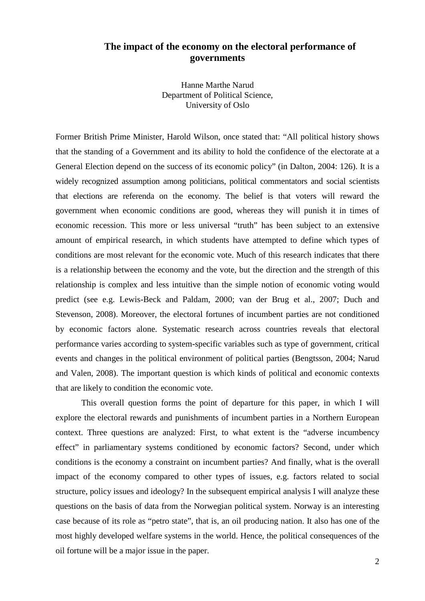# **The impact of the economy on the electoral performance of governments**

Hanne Marthe Narud Department of Political Science, University of Oslo

Former British Prime Minister, Harold Wilson, once stated that: "All political history shows that the standing of a Government and its ability to hold the confidence of the electorate at a General Election depend on the success of its economic policy" (in Dalton, 2004: 126). It is a widely recognized assumption among politicians, political commentators and social scientists that elections are referenda on the economy. The belief is that voters will reward the government when economic conditions are good, whereas they will punish it in times of economic recession. This more or less universal "truth" has been subject to an extensive amount of empirical research, in which students have attempted to define which types of conditions are most relevant for the economic vote. Much of this research indicates that there is a relationship between the economy and the vote, but the direction and the strength of this relationship is complex and less intuitive than the simple notion of economic voting would predict (see e.g. Lewis-Beck and Paldam, 2000; van der Brug et al., 2007; Duch and Stevenson, 2008). Moreover, the electoral fortunes of incumbent parties are not conditioned by economic factors alone. Systematic research across countries reveals that electoral performance varies according to system-specific variables such as type of government, critical events and changes in the political environment of political parties (Bengtsson, 2004; Narud and Valen, 2008). The important question is which kinds of political and economic contexts that are likely to condition the economic vote.

This overall question forms the point of departure for this paper, in which I will explore the electoral rewards and punishments of incumbent parties in a Northern European context. Three questions are analyzed: First, to what extent is the "adverse incumbency effect" in parliamentary systems conditioned by economic factors? Second, under which conditions is the economy a constraint on incumbent parties? And finally, what is the overall impact of the economy compared to other types of issues, e.g. factors related to social structure, policy issues and ideology? In the subsequent empirical analysis I will analyze these questions on the basis of data from the Norwegian political system. Norway is an interesting case because of its role as "petro state", that is, an oil producing nation. It also has one of the most highly developed welfare systems in the world. Hence, the political consequences of the oil fortune will be a major issue in the paper.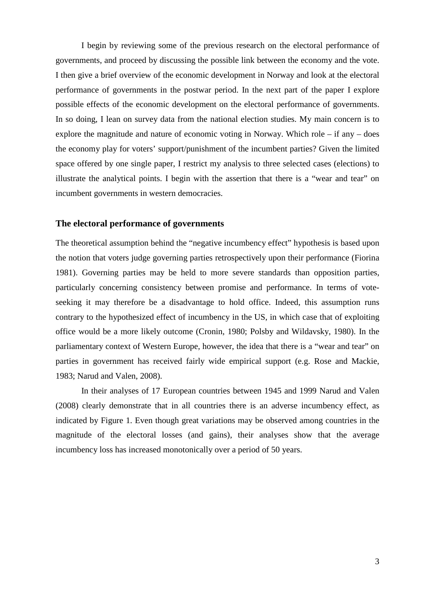I begin by reviewing some of the previous research on the electoral performance of governments, and proceed by discussing the possible link between the economy and the vote. I then give a brief overview of the economic development in Norway and look at the electoral performance of governments in the postwar period. In the next part of the paper I explore possible effects of the economic development on the electoral performance of governments. In so doing, I lean on survey data from the national election studies. My main concern is to explore the magnitude and nature of economic voting in Norway. Which role – if any – does the economy play for voters' support/punishment of the incumbent parties? Given the limited space offered by one single paper, I restrict my analysis to three selected cases (elections) to illustrate the analytical points. I begin with the assertion that there is a "wear and tear" on incumbent governments in western democracies.

### **The electoral performance of governments**

The theoretical assumption behind the "negative incumbency effect" hypothesis is based upon the notion that voters judge governing parties retrospectively upon their performance (Fiorina 1981). Governing parties may be held to more severe standards than opposition parties, particularly concerning consistency between promise and performance. In terms of voteseeking it may therefore be a disadvantage to hold office. Indeed, this assumption runs contrary to the hypothesized effect of incumbency in the US, in which case that of exploiting office would be a more likely outcome (Cronin, 1980; Polsby and Wildavsky, 1980). In the parliamentary context of Western Europe, however, the idea that there is a "wear and tear" on parties in government has received fairly wide empirical support (e.g. Rose and Mackie, 1983; Narud and Valen, 2008).

In their analyses of 17 European countries between 1945 and 1999 Narud and Valen (2008) clearly demonstrate that in all countries there is an adverse incumbency effect, as indicated by Figure 1. Even though great variations may be observed among countries in the magnitude of the electoral losses (and gains), their analyses show that the average incumbency loss has increased monotonically over a period of 50 years.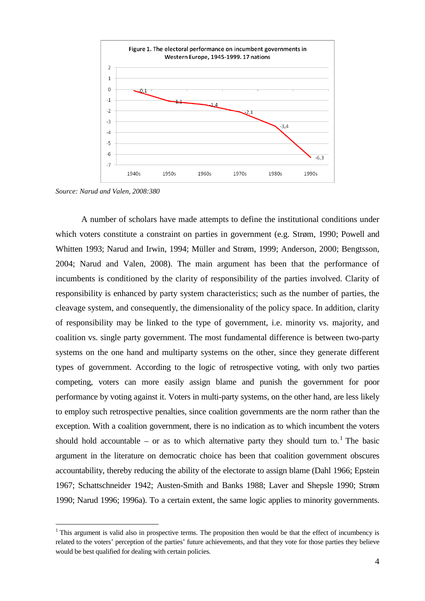

*Source: Narud and Valen, 2008:380*

A number of scholars have made attempts to define the institutional conditions under which voters constitute a constraint on parties in government (e.g. Strøm, 1990; Powell and Whitten 1993; Narud and Irwin, 1994; Müller and Strøm, 1999; Anderson, 2000; Bengtsson, 2004; Narud and Valen, 2008). The main argument has been that the performance of incumbents is conditioned by the clarity of responsibility of the parties involved. Clarity of responsibility is enhanced by party system characteristics; such as the number of parties, the cleavage system, and consequently, the dimensionality of the policy space. In addition, clarity of responsibility may be linked to the type of government, i.e. minority vs. majority, and coalition vs. single party government. The most fundamental difference is between two-party systems on the one hand and multiparty systems on the other, since they generate different types of government. According to the logic of retrospective voting, with only two parties competing, voters can more easily assign blame and punish the government for poor performance by voting against it. Voters in multi-party systems, on the other hand, are less likely to employ such retrospective penalties, since coalition governments are the norm rather than the exception. With a coalition government, there is no indication as to which incumbent the voters should hold accountable – or as to which alternative party they should turn to.<sup>[1](#page-4-0)</sup> The basic argument in the literature on democratic choice has been that coalition government obscures accountability, thereby reducing the ability of the electorate to assign blame (Dahl 1966; Epstein 1967; Schattschneider 1942; Austen-Smith and Banks 1988; Laver and Shepsle 1990; Strøm 1990; Narud 1996; 1996a). To a certain extent, the same logic applies to minority governments.

<span id="page-4-0"></span> $<sup>1</sup>$  This argument is valid also in prospective terms. The proposition then would be that the effect of incumbency is</sup> related to the voters' perception of the parties' future achievements, and that they vote for those parties they believe would be best qualified for dealing with certain policies.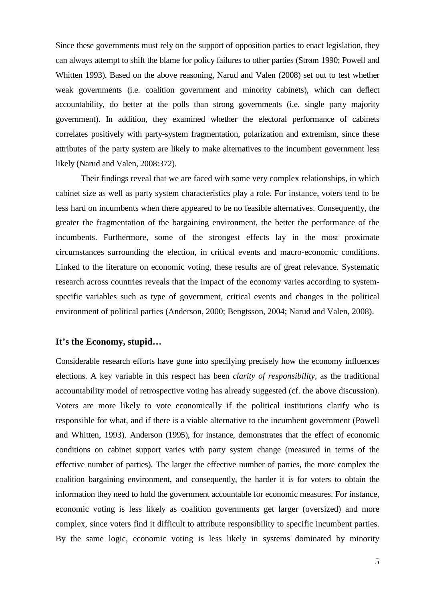Since these governments must rely on the support of opposition parties to enact legislation, they can always attempt to shift the blame for policy failures to other parties (Strøm 1990; Powell and Whitten 1993). Based on the above reasoning, Narud and Valen (2008) set out to test whether weak governments (i.e. coalition government and minority cabinets), which can deflect accountability, do better at the polls than strong governments (i.e. single party majority government). In addition, they examined whether the electoral performance of cabinets correlates positively with party-system fragmentation, polarization and extremism, since these attributes of the party system are likely to make alternatives to the incumbent government less likely (Narud and Valen, 2008:372).

Their findings reveal that we are faced with some very complex relationships, in which cabinet size as well as party system characteristics play a role. For instance, voters tend to be less hard on incumbents when there appeared to be no feasible alternatives. Consequently, the greater the fragmentation of the bargaining environment, the better the performance of the incumbents. Furthermore, some of the strongest effects lay in the most proximate circumstances surrounding the election, in critical events and macro-economic conditions. Linked to the literature on economic voting, these results are of great relevance. Systematic research across countries reveals that the impact of the economy varies according to systemspecific variables such as type of government, critical events and changes in the political environment of political parties (Anderson, 2000; Bengtsson, 2004; Narud and Valen, 2008).

### **It's the Economy, stupid…**

Considerable research efforts have gone into specifying precisely how the economy influences elections. A key variable in this respect has been *clarity of responsibility*, as the traditional accountability model of retrospective voting has already suggested (cf. the above discussion). Voters are more likely to vote economically if the political institutions clarify who is responsible for what, and if there is a viable alternative to the incumbent government (Powell and Whitten, 1993). Anderson (1995), for instance, demonstrates that the effect of economic conditions on cabinet support varies with party system change (measured in terms of the effective number of parties). The larger the effective number of parties, the more complex the coalition bargaining environment, and consequently, the harder it is for voters to obtain the information they need to hold the government accountable for economic measures. For instance, economic voting is less likely as coalition governments get larger (oversized) and more complex, since voters find it difficult to attribute responsibility to specific incumbent parties. By the same logic, economic voting is less likely in systems dominated by minority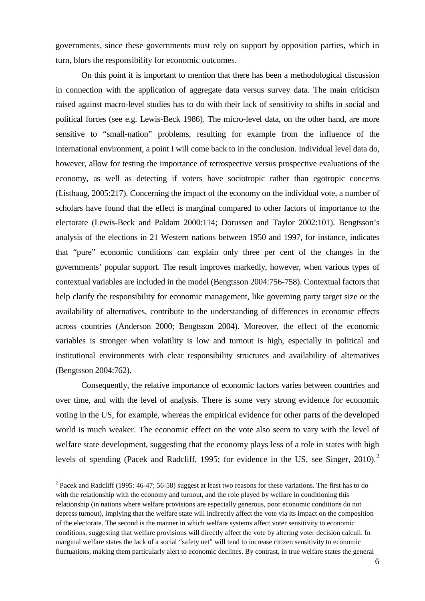governments, since these governments must rely on support by opposition parties, which in turn, blurs the responsibility for economic outcomes.

On this point it is important to mention that there has been a methodological discussion in connection with the application of aggregate data versus survey data. The main criticism raised against macro-level studies has to do with their lack of sensitivity to shifts in social and political forces (see e.g. Lewis-Beck 1986). The micro-level data, on the other hand, are more sensitive to "small-nation" problems, resulting for example from the influence of the international environment, a point I will come back to in the conclusion. Individual level data do, however, allow for testing the importance of retrospective versus prospective evaluations of the economy, as well as detecting if voters have sociotropic rather than egotropic concerns (Listhaug, 2005:217). Concerning the impact of the economy on the individual vote, a number of scholars have found that the effect is marginal compared to other factors of importance to the electorate (Lewis-Beck and Paldam 2000:114; Dorussen and Taylor 2002:101). Bengtsson's analysis of the elections in 21 Western nations between 1950 and 1997, for instance, indicates that "pure" economic conditions can explain only three per cent of the changes in the governments' popular support. The result improves markedly, however, when various types of contextual variables are included in the model (Bengtsson 2004:756-758). Contextual factors that help clarify the responsibility for economic management, like governing party target size or the availability of alternatives, contribute to the understanding of differences in economic effects across countries (Anderson 2000; Bengtsson 2004). Moreover, the effect of the economic variables is stronger when volatility is low and turnout is high, especially in political and institutional environments with clear responsibility structures and availability of alternatives (Bengtsson 2004:762).

Consequently, the relative importance of economic factors varies between countries and over time, and with the level of analysis. There is some very strong evidence for economic voting in the US, for example, whereas the empirical evidence for other parts of the developed world is much weaker. The economic effect on the vote also seem to vary with the level of welfare state development, suggesting that the economy plays less of a role in states with high levels of spending (Pacek and Radcliff, 1995; for evidence in the US, see Singer, [2](#page-6-0)010).<sup>2</sup>

<span id="page-6-0"></span><sup>&</sup>lt;sup>2</sup> Pacek and Radcliff (1995: 46-47; 56-58) suggest at least two reasons for these variations. The first has to do with the relationship with the economy and turnout, and the role played by welfare in conditioning this relationship (in nations where welfare provisions are especially generous, poor economic conditions do not depress turnout), implying that the welfare state will indirectly affect the vote via its impact on the composition of the electorate. The second is the manner in which welfare systems affect voter sensitivity to economic conditions, suggesting that welfare provisions will directly affect the vote by altering voter decision calculi. In marginal welfare states the lack of a social "safety net" will tend to increase citizen sensitivity to economic fluctuations, making them particularly alert to economic declines. By contrast, in true welfare states the general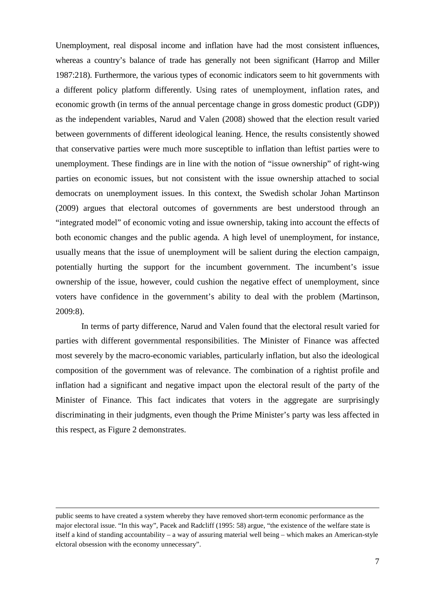Unemployment, real disposal income and inflation have had the most consistent influences, whereas a country's balance of trade has generally not been significant (Harrop and Miller 1987:218). Furthermore, the various types of economic indicators seem to hit governments with a different policy platform differently. Using rates of unemployment, inflation rates, and economic growth (in terms of the annual percentage change in gross domestic product (GDP)) as the independent variables, Narud and Valen (2008) showed that the election result varied between governments of different ideological leaning. Hence, the results consistently showed that conservative parties were much more susceptible to inflation than leftist parties were to unemployment. These findings are in line with the notion of "issue ownership" of right-wing parties on economic issues, but not consistent with the issue ownership attached to social democrats on unemployment issues. In this context, the Swedish scholar Johan Martinson (2009) argues that electoral outcomes of governments are best understood through an "integrated model" of economic voting and issue ownership, taking into account the effects of both economic changes and the public agenda. A high level of unemployment, for instance, usually means that the issue of unemployment will be salient during the election campaign, potentially hurting the support for the incumbent government. The incumbent's issue ownership of the issue, however, could cushion the negative effect of unemployment, since voters have confidence in the government's ability to deal with the problem (Martinson, 2009:8).

In terms of party difference, Narud and Valen found that the electoral result varied for parties with different governmental responsibilities. The Minister of Finance was affected most severely by the macro-economic variables, particularly inflation, but also the ideological composition of the government was of relevance. The combination of a rightist profile and inflation had a significant and negative impact upon the electoral result of the party of the Minister of Finance. This fact indicates that voters in the aggregate are surprisingly discriminating in their judgments, even though the Prime Minister's party was less affected in this respect, as Figure 2 demonstrates.

-

public seems to have created a system whereby they have removed short-term economic performance as the major electoral issue. "In this way", Pacek and Radcliff (1995: 58) argue, "the existence of the welfare state is itself a kind of standing accountability – a way of assuring material well being – which makes an American-style elctoral obsession with the economy unnecessary".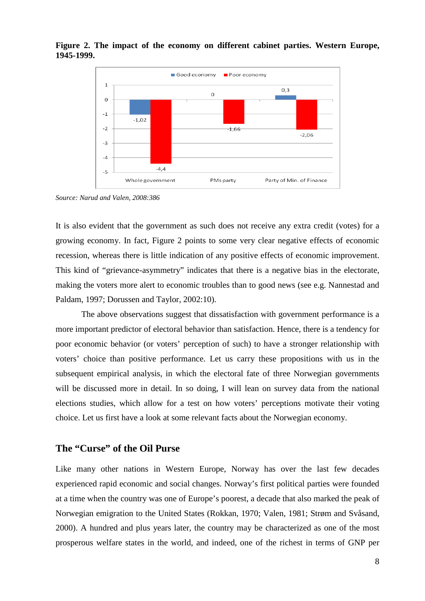

**Figure 2. The impact of the economy on different cabinet parties. Western Europe, 1945-1999.**

*Source: Narud and Valen, 2008:386*

It is also evident that the government as such does not receive any extra credit (votes) for a growing economy. In fact, Figure 2 points to some very clear negative effects of economic recession, whereas there is little indication of any positive effects of economic improvement. This kind of "grievance-asymmetry" indicates that there is a negative bias in the electorate, making the voters more alert to economic troubles than to good news (see e.g. Nannestad and Paldam, 1997; Dorussen and Taylor, 2002:10).

The above observations suggest that dissatisfaction with government performance is a more important predictor of electoral behavior than satisfaction. Hence, there is a tendency for poor economic behavior (or voters' perception of such) to have a stronger relationship with voters' choice than positive performance. Let us carry these propositions with us in the subsequent empirical analysis, in which the electoral fate of three Norwegian governments will be discussed more in detail. In so doing, I will lean on survey data from the national elections studies, which allow for a test on how voters' perceptions motivate their voting choice. Let us first have a look at some relevant facts about the Norwegian economy.

### **The "Curse" of the Oil Purse**

Like many other nations in Western Europe, Norway has over the last few decades experienced rapid economic and social changes. Norway's first political parties were founded at a time when the country was one of Europe's poorest, a decade that also marked the peak of Norwegian emigration to the United States (Rokkan, 1970; Valen, 1981; Strøm and Svåsand, 2000). A hundred and plus years later, the country may be characterized as one of the most prosperous welfare states in the world, and indeed, one of the richest in terms of GNP per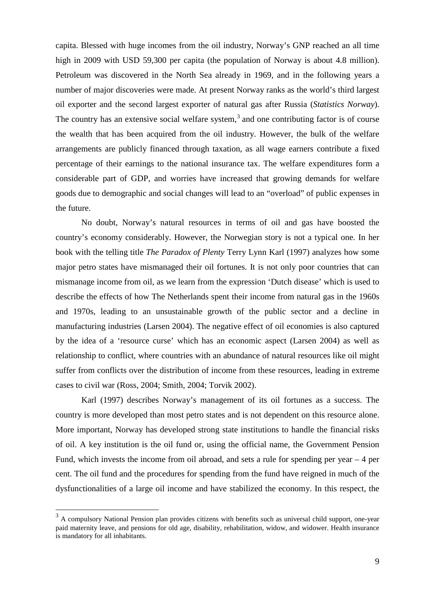capita. Blessed with huge incomes from the oil industry, Norway's GNP reached an all time high in 2009 with USD 59,300 per capita (the population of Norway is about 4.8 million). Petroleum was discovered in the North Sea already in 1969, and in the following years a number of major discoveries were made. At present Norway ranks as the world's third largest oil exporter and the second largest exporter of natural gas after Russia (*Statistics Norway*). The country has an extensive social welfare system, $3$  and one contributing factor is of course the wealth that has been acquired from the oil industry. However, the bulk of the welfare arrangements are publicly financed through taxation, as all wage earners contribute a fixed percentage of their earnings to the national insurance tax. The welfare expenditures form a considerable part of GDP, and worries have increased that growing demands for welfare goods due to demographic and social changes will lead to an "overload" of public expenses in the future.

No doubt, Norway's natural resources in terms of oil and gas have boosted the country's economy considerably. However, the Norwegian story is not a typical one. In her book with the telling title *The Paradox of Plenty* Terry Lynn Karl (1997) analyzes how some major petro states have mismanaged their oil fortunes. It is not only poor countries that can mismanage income from oil, as we learn from the expression 'Dutch disease' which is used to describe the effects of how The Netherlands spent their income from natural gas in the 1960s and 1970s, leading to an unsustainable growth of the public sector and a decline in manufacturing industries (Larsen 2004). The negative effect of oil economies is also captured by the idea of a 'resource curse' which has an economic aspect (Larsen 2004) as well as relationship to conflict, where countries with an abundance of natural resources like oil might suffer from conflicts over the distribution of income from these resources, leading in extreme cases to civil war (Ross, 2004; Smith, 2004; Torvik 2002).

Karl (1997) describes Norway's management of its oil fortunes as a success. The country is more developed than most petro states and is not dependent on this resource alone. More important, Norway has developed strong state institutions to handle the financial risks of oil. A key institution is the oil fund or, using the official name, the Government Pension Fund, which invests the income from oil abroad, and sets a rule for spending per year  $-4$  per cent. The oil fund and the procedures for spending from the fund have reigned in much of the dysfunctionalities of a large oil income and have stabilized the economy. In this respect, the

<span id="page-9-0"></span><sup>&</sup>lt;sup>3</sup> A compulsory National Pension plan provides citizens with benefits such as universal child support, one-year paid maternity leave, and pensions for old age, disability, rehabilitation, widow, and widower. Health insurance is mandatory for all inhabitants.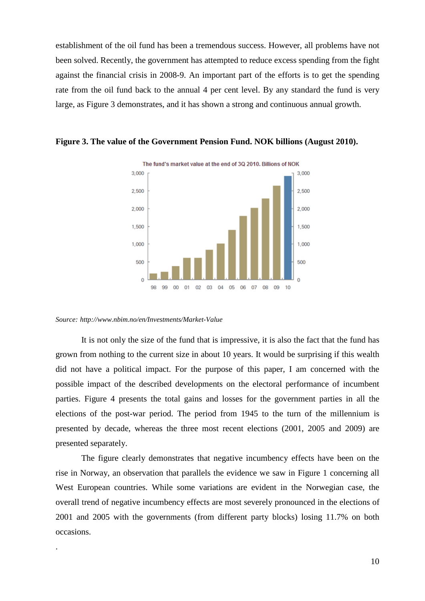establishment of the oil fund has been a tremendous success. However, all problems have not been solved. Recently, the government has attempted to reduce excess spending from the fight against the financial crisis in 2008-9. An important part of the efforts is to get the spending rate from the oil fund back to the annual 4 per cent level. By any standard the fund is very large, as Figure 3 demonstrates, and it has shown a strong and continuous annual growth.



**Figure 3. The value of the Government Pension Fund. NOK billions (August 2010).** 

#### *Source: http://www.nbim.no/en/Investments/Market-Value*

.

It is not only the size of the fund that is impressive, it is also the fact that the fund has grown from nothing to the current size in about 10 years. It would be surprising if this wealth did not have a political impact. For the purpose of this paper, I am concerned with the possible impact of the described developments on the electoral performance of incumbent parties. Figure 4 presents the total gains and losses for the government parties in all the elections of the post-war period. The period from 1945 to the turn of the millennium is presented by decade, whereas the three most recent elections (2001, 2005 and 2009) are presented separately.

The figure clearly demonstrates that negative incumbency effects have been on the rise in Norway, an observation that parallels the evidence we saw in Figure 1 concerning all West European countries. While some variations are evident in the Norwegian case, the overall trend of negative incumbency effects are most severely pronounced in the elections of 2001 and 2005 with the governments (from different party blocks) losing 11.7% on both occasions.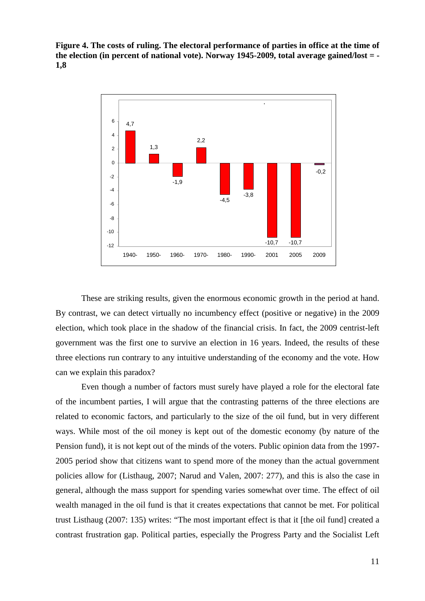**Figure 4. The costs of ruling. The electoral performance of parties in office at the time of the election (in percent of national vote). Norway 1945-2009, total average gained/lost = - 1,8**



These are striking results, given the enormous economic growth in the period at hand. By contrast, we can detect virtually no incumbency effect (positive or negative) in the 2009 election, which took place in the shadow of the financial crisis. In fact, the 2009 centrist-left government was the first one to survive an election in 16 years. Indeed, the results of these three elections run contrary to any intuitive understanding of the economy and the vote. How can we explain this paradox?

Even though a number of factors must surely have played a role for the electoral fate of the incumbent parties, I will argue that the contrasting patterns of the three elections are related to economic factors, and particularly to the size of the oil fund, but in very different ways. While most of the oil money is kept out of the domestic economy (by nature of the Pension fund), it is not kept out of the minds of the voters. Public opinion data from the 1997- 2005 period show that citizens want to spend more of the money than the actual government policies allow for (Listhaug, 2007; Narud and Valen, 2007: 277), and this is also the case in general, although the mass support for spending varies somewhat over time. The effect of oil wealth managed in the oil fund is that it creates expectations that cannot be met. For political trust Listhaug (2007: 135) writes: "The most important effect is that it [the oil fund] created a contrast frustration gap. Political parties, especially the Progress Party and the Socialist Left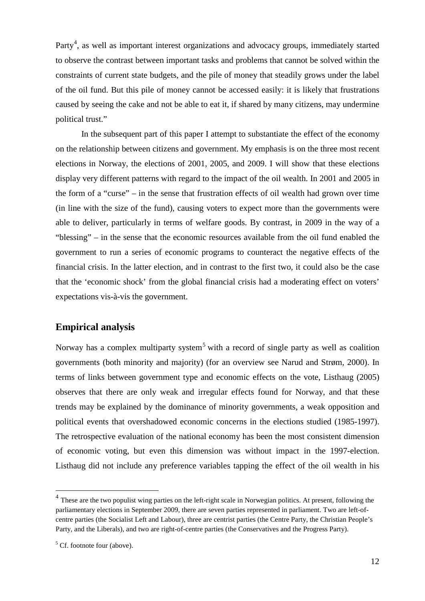Party<sup>[4](#page-12-0)</sup>, as well as important interest organizations and advocacy groups, immediately started to observe the contrast between important tasks and problems that cannot be solved within the constraints of current state budgets, and the pile of money that steadily grows under the label of the oil fund. But this pile of money cannot be accessed easily: it is likely that frustrations caused by seeing the cake and not be able to eat it, if shared by many citizens, may undermine political trust."

In the subsequent part of this paper I attempt to substantiate the effect of the economy on the relationship between citizens and government. My emphasis is on the three most recent elections in Norway, the elections of 2001, 2005, and 2009. I will show that these elections display very different patterns with regard to the impact of the oil wealth. In 2001 and 2005 in the form of a "curse" – in the sense that frustration effects of oil wealth had grown over time (in line with the size of the fund), causing voters to expect more than the governments were able to deliver, particularly in terms of welfare goods. By contrast, in 2009 in the way of a "blessing" – in the sense that the economic resources available from the oil fund enabled the government to run a series of economic programs to counteract the negative effects of the financial crisis. In the latter election, and in contrast to the first two, it could also be the case that the 'economic shock' from the global financial crisis had a moderating effect on voters' expectations vis-à-vis the government.

## **Empirical analysis**

Norway has a complex multiparty system<sup>[5](#page-12-1)</sup> with a record of single party as well as coalition governments (both minority and majority) (for an overview see Narud and Strøm, 2000). In terms of links between government type and economic effects on the vote, Listhaug (2005) observes that there are only weak and irregular effects found for Norway, and that these trends may be explained by the dominance of minority governments, a weak opposition and political events that overshadowed economic concerns in the elections studied (1985-1997). The retrospective evaluation of the national economy has been the most consistent dimension of economic voting, but even this dimension was without impact in the 1997-election. Listhaug did not include any preference variables tapping the effect of the oil wealth in his

<span id="page-12-0"></span> $<sup>4</sup>$  These are the two populist wing parties on the left-right scale in Norwegian politics. At present, following the</sup> parliamentary elections in September 2009, there are seven parties represented in parliament. Two are left-ofcentre parties (the Socialist Left and Labour), three are centrist parties (the Centre Party, the Christian People's Party, and the Liberals), and two are right-of-centre parties (the Conservatives and the Progress Party).

<span id="page-12-1"></span> $5$  Cf. footnote four (above).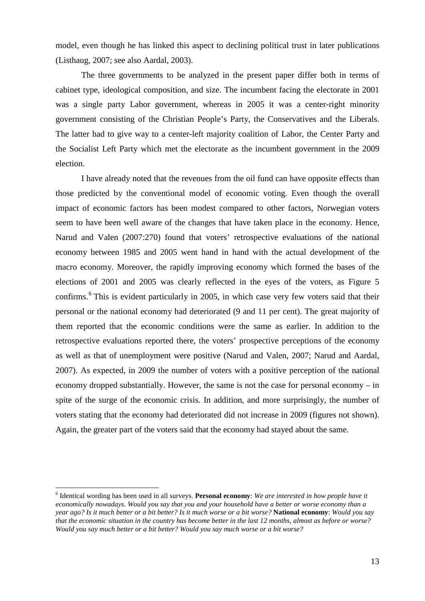model, even though he has linked this aspect to declining political trust in later publications (Listhaug, 2007; see also Aardal, 2003).

The three governments to be analyzed in the present paper differ both in terms of cabinet type, ideological composition, and size. The incumbent facing the electorate in 2001 was a single party Labor government, whereas in 2005 it was a center-right minority government consisting of the Christian People's Party, the Conservatives and the Liberals. The latter had to give way to a center-left majority coalition of Labor, the Center Party and the Socialist Left Party which met the electorate as the incumbent government in the 2009 election.

I have already noted that the revenues from the oil fund can have opposite effects than those predicted by the conventional model of economic voting. Even though the overall impact of economic factors has been modest compared to other factors, Norwegian voters seem to have been well aware of the changes that have taken place in the economy. Hence, Narud and Valen (2007:270) found that voters' retrospective evaluations of the national economy between 1985 and 2005 went hand in hand with the actual development of the macro economy. Moreover, the rapidly improving economy which formed the bases of the elections of 2001 and 2005 was clearly reflected in the eyes of the voters, as Figure 5 confirms.<sup>[6](#page-13-0)</sup> This is evident particularly in 2005, in which case very few voters said that their personal or the national economy had deteriorated (9 and 11 per cent). The great majority of them reported that the economic conditions were the same as earlier. In addition to the retrospective evaluations reported there, the voters' prospective perceptions of the economy as well as that of unemployment were positive (Narud and Valen, 2007; Narud and Aardal, 2007). As expected, in 2009 the number of voters with a positive perception of the national economy dropped substantially. However, the same is not the case for personal economy – in spite of the surge of the economic crisis. In addition, and more surprisingly, the number of voters stating that the economy had deteriorated did not increase in 2009 (figures not shown). Again, the greater part of the voters said that the economy had stayed about the same.

<span id="page-13-0"></span> <sup>6</sup> Identical wording has been used in all surveys. **Personal economy**: *[We are interested in how people have it](http://129.177.90.145/nsddata/velocity?study=http%3A%2F%2F129.177.90.145%3A80%2Fobj%2FfStudy%2FNSD0973e&format=html&mode=transform#V208)  [economically nowadays. Would you say that you and your household have a better or worse economy than a](http://129.177.90.145/nsddata/velocity?study=http%3A%2F%2F129.177.90.145%3A80%2Fobj%2FfStudy%2FNSD0973e&format=html&mode=transform#V208)  [year ago? Is it much better or a bit better?](http://129.177.90.145/nsddata/velocity?study=http%3A%2F%2F129.177.90.145%3A80%2Fobj%2FfStudy%2FNSD0973e&format=html&mode=transform#V208) [Is it much worse or a bit worse?](http://129.177.90.145/nsddata/velocity?study=http%3A%2F%2F129.177.90.145%3A80%2Fobj%2FfStudy%2FNSD0973e&format=html&mode=transform#V210)* **National economy**: *[Would you say](http://129.177.90.145/nsddata/velocity?study=http%3A%2F%2F129.177.90.145%3A80%2Fobj%2FfStudy%2FNSD0973e&format=html&mode=transform#V213)  that the economic situation [in the country has become better in the last 12 months, almost as before or worse?](http://129.177.90.145/nsddata/velocity?study=http%3A%2F%2F129.177.90.145%3A80%2Fobj%2FfStudy%2FNSD0973e&format=html&mode=transform#V213)  [Would you say much better or a bit better?](http://129.177.90.145/nsddata/velocity?study=http%3A%2F%2F129.177.90.145%3A80%2Fobj%2FfStudy%2FNSD0973e&format=html&mode=transform#V213) [Would you say much worse or a bit worse?](http://129.177.90.145/nsddata/velocity?study=http%3A%2F%2F129.177.90.145%3A80%2Fobj%2FfStudy%2FNSD0973e&format=html&mode=transform#V215)*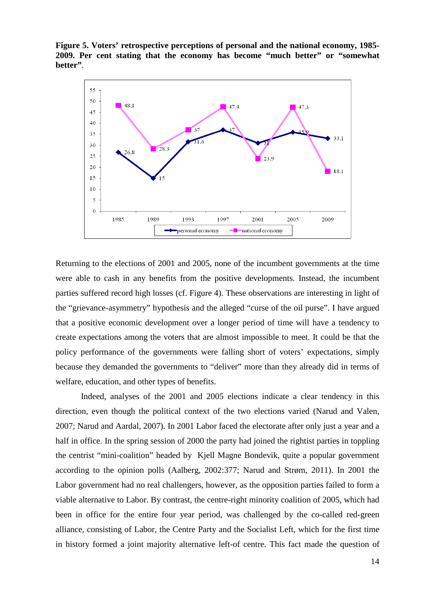**Figure 5. Voters' retrospective perceptions of personal and the national economy, 1985- 2009. Per cent stating that the economy has become "much better" or "somewhat better"**.



Returning to the elections of 2001 and 2005, none of the incumbent governments at the time were able to cash in any benefits from the positive developments. Instead, the incumbent parties suffered record high losses (cf. Figure 4). These observations are interesting in light of the "grievance-asymmetry" hypothesis and the alleged "curse of the oil purse". I have argued that a positive economic development over a longer period of time will have a tendency to create expectations among the voters that are almost impossible to meet. It could be that the policy performance of the governments were falling short of voters' expectations, simply because they demanded the governments to "deliver" more than they already did in terms of welfare, education, and other types of benefits.

Indeed, analyses of the 2001 and 2005 elections indicate a clear tendency in this direction, even though the political context of the two elections varied (Narud and Valen, 2007; Narud and Aardal, 2007). In 2001 Labor faced the electorate after only just a year and a half in office. In the spring session of 2000 the party had joined the rightist parties in toppling the centrist "mini-coalition" headed by Kjell Magne Bondevik, quite a popular government according to the opinion polls (Aalberg, 2002:377; Narud and Strøm, 2011). In 2001 the Labor government had no real challengers, however, as the opposition parties failed to form a viable alternative to Labor. By contrast, the centre-right minority coalition of 2005, which had been in office for the entire four year period, was challenged by the co-called red-green alliance, consisting of Labor, the Centre Party and the Socialist Left, which for the first time in history formed a joint majority alternative left-of centre. This fact made the question of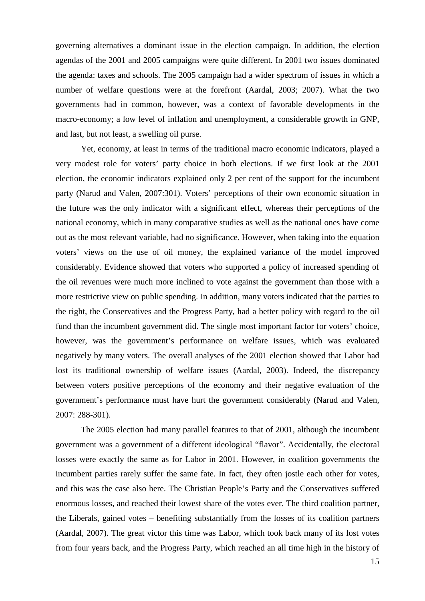governing alternatives a dominant issue in the election campaign. In addition, the election agendas of the 2001 and 2005 campaigns were quite different. In 2001 two issues dominated the agenda: taxes and schools. The 2005 campaign had a wider spectrum of issues in which a number of welfare questions were at the forefront (Aardal, 2003; 2007). What the two governments had in common, however, was a context of favorable developments in the macro-economy; a low level of inflation and unemployment, a considerable growth in GNP, and last, but not least, a swelling oil purse.

Yet, economy, at least in terms of the traditional macro economic indicators, played a very modest role for voters' party choice in both elections. If we first look at the 2001 election, the economic indicators explained only 2 per cent of the support for the incumbent party (Narud and Valen, 2007:301). Voters' perceptions of their own economic situation in the future was the only indicator with a significant effect, whereas their perceptions of the national economy, which in many comparative studies as well as the national ones have come out as the most relevant variable, had no significance. However, when taking into the equation voters' views on the use of oil money, the explained variance of the model improved considerably. Evidence showed that voters who supported a policy of increased spending of the oil revenues were much more inclined to vote against the government than those with a more restrictive view on public spending. In addition, many voters indicated that the parties to the right, the Conservatives and the Progress Party, had a better policy with regard to the oil fund than the incumbent government did. The single most important factor for voters' choice, however, was the government's performance on welfare issues, which was evaluated negatively by many voters. The overall analyses of the 2001 election showed that Labor had lost its traditional ownership of welfare issues (Aardal, 2003). Indeed, the discrepancy between voters positive perceptions of the economy and their negative evaluation of the government's performance must have hurt the government considerably (Narud and Valen, 2007: 288-301).

The 2005 election had many parallel features to that of 2001, although the incumbent government was a government of a different ideological "flavor". Accidentally, the electoral losses were exactly the same as for Labor in 2001. However, in coalition governments the incumbent parties rarely suffer the same fate. In fact, they often jostle each other for votes, and this was the case also here. The Christian People's Party and the Conservatives suffered enormous losses, and reached their lowest share of the votes ever. The third coalition partner, the Liberals, gained votes – benefiting substantially from the losses of its coalition partners (Aardal, 2007). The great victor this time was Labor, which took back many of its lost votes from four years back, and the Progress Party, which reached an all time high in the history of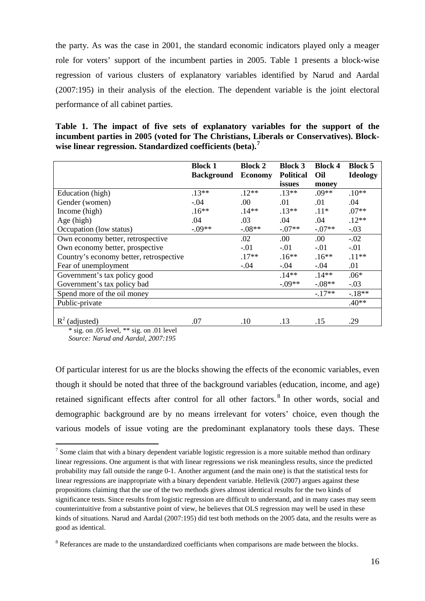the party. As was the case in 2001, the standard economic indicators played only a meager role for voters' support of the incumbent parties in 2005. Table 1 presents a block-wise regression of various clusters of explanatory variables identified by Narud and Aardal (2007:195) in their analysis of the election. The dependent variable is the joint electoral performance of all cabinet parties.

**Table 1. The impact of five sets of explanatory variables for the support of the incumbent parties in 2005 (voted for The Christians, Liberals or Conservatives). Blockwise linear regression. Standardized coefficients (beta).[7](#page-16-0)**

|                                         | <b>Block 1</b><br><b>Background</b> | <b>Block 2</b><br><b>Economy</b> | <b>Block 3</b><br><b>Political</b><br>issues | <b>Block 4</b><br>Oil<br>money | <b>Block 5</b><br><b>Ideology</b> |
|-----------------------------------------|-------------------------------------|----------------------------------|----------------------------------------------|--------------------------------|-----------------------------------|
| Education (high)                        | $.13**$                             | $.12**$                          | $.13**$                                      | $.09**$                        | $.10**$                           |
| Gender (women)                          | $-.04$                              | .00                              | .01                                          | .01                            | .04                               |
| Income (high)                           | $.16**$                             | $.14**$                          | $.13**$                                      | $.11*$                         | $.07**$                           |
| Age (high)                              | .04                                 | .03                              | .04                                          | .04                            | $.12**$                           |
| Occupation (low status)                 | $-.09**$                            | $-.08**$                         | $-.07**$                                     | $-07**$                        | $-.03$                            |
| Own economy better, retrospective       |                                     | .02                              | .00.                                         | .00.                           | $-.02$                            |
| Own economy better, prospective         |                                     | $-.01$                           | $-.01$                                       | $-.01$                         | $-.01$                            |
| Country's economy better, retrospective |                                     | $.17**$                          | $.16**$                                      | $.16**$                        | $.11**$                           |
| Fear of unemployment                    |                                     | $-.04$                           | $-.04$                                       | $-.04$                         | .01                               |
| Government's tax policy good            |                                     |                                  | $.14**$                                      | $.14**$                        | $.06*$                            |
| Government's tax policy bad             |                                     |                                  | $-0.09**$                                    | $-.08**$                       | $-.03$                            |
| Spend more of the oil money             |                                     |                                  |                                              | $-17**$                        | $-18**$                           |
| Public-private                          |                                     |                                  |                                              |                                | $.40**$                           |
| $R^2$ (adjusted)                        | .07                                 | .10                              | .13                                          | .15                            | .29                               |

\* sig. on .05 level, \*\* sig. on .01 level

*Source: Narud and Aardal, 2007:195*

Of particular interest for us are the blocks showing the effects of the economic variables, even though it should be noted that three of the background variables (education, income, and age) retained significant effects after control for all other factors.<sup>[8](#page-16-1)</sup> In other words, social and demographic background are by no means irrelevant for voters' choice, even though the various models of issue voting are the predominant explanatory tools these days. These

<span id="page-16-0"></span> $<sup>7</sup>$  Some claim that with a binary dependent variable logistic regression is a more suitable method than ordinary</sup> linear regressions. One argument is that with linear regressions we risk meaningless results, since the predicted probability may fall outside the range 0-1. Another argument (and the main one) is that the statistical tests for linear regressions are inappropriate with a binary dependent variable. Hellevik (2007) argues against these propositions claiming that the use of the two methods gives almost identical results for the two kinds of significance tests. Since results from logistic regression are difficult to understand, and in many cases may seem counterintuitive from a substantive point of view, he believes that OLS regression may well be used in these kinds of situations. Narud and Aardal (2007:195) did test both methods on the 2005 data, and the results were as good as identical.

<span id="page-16-1"></span><sup>&</sup>lt;sup>8</sup> Referances are made to the unstandardized coefficiants when comparisons are made between the blocks.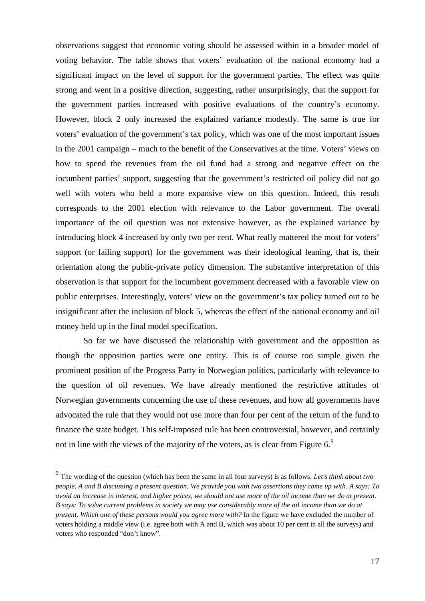observations suggest that economic voting should be assessed within in a broader model of voting behavior. The table shows that voters' evaluation of the national economy had a significant impact on the level of support for the government parties. The effect was quite strong and went in a positive direction, suggesting, rather unsurprisingly, that the support for the government parties increased with positive evaluations of the country's economy. However, block 2 only increased the explained variance modestly. The same is true for voters' evaluation of the government's tax policy, which was one of the most important issues in the 2001 campaign – much to the benefit of the Conservatives at the time. Voters' views on how to spend the revenues from the oil fund had a strong and negative effect on the incumbent parties' support, suggesting that the government's restricted oil policy did not go well with voters who held a more expansive view on this question. Indeed, this result corresponds to the 2001 election with relevance to the Labor government. The overall importance of the oil question was not extensive however, as the explained variance by introducing block 4 increased by only two per cent. What really mattered the most for voters' support (or failing support) for the government was their ideological leaning, that is, their orientation along the public-private policy dimension. The substantive interpretation of this observation is that support for the incumbent government decreased with a favorable view on public enterprises. Interestingly, voters' view on the government's tax policy turned out to be insignificant after the inclusion of block 5, whereas the effect of the national economy and oil money held up in the final model specification.

So far we have discussed the relationship with government and the opposition as though the opposition parties were one entity. This is of course too simple given the prominent position of the Progress Party in Norwegian politics, particularly with relevance to the question of oil revenues. We have already mentioned the restrictive attitudes of Norwegian governments concerning the use of these revenues, and how all governments have advocated the rule that they would not use more than four per cent of the return of the fund to finance the state budget. This self-imposed rule has been controversial, however, and certainly not in line with the views of the majority of the voters, as is clear from Figure  $6<sup>9</sup>$  $6<sup>9</sup>$  $6<sup>9</sup>$ 

<span id="page-17-0"></span> <sup>9</sup> The wording of the question (which has been the same in all four surveys) is as follows: *[Let's think about two](http://129.177.90.145/nsddata/velocity?study=http%3A%2F%2F129.177.90.145%3A80%2Fobj%2FfStudy%2FNSD0973e&format=html&mode=transform#V216)  [people, A and B discussing a present question. We provide you with two assertions they came up with](http://129.177.90.145/nsddata/velocity?study=http%3A%2F%2F129.177.90.145%3A80%2Fobj%2FfStudy%2FNSD0973e&format=html&mode=transform#V216)*. *A says: To avoid an increase in interest, and higher prices, we should not use more of the oil income than we do at present. B says: To solve current problems in society we may use considerably more of the oil income than we do at present. Which one of these persons would you agree more with?* In the figure we have excluded the number of voters holding a middle view (i.e. agree both with A and B, which was about 10 per cent in all the surveys) and voters who responded "don't know".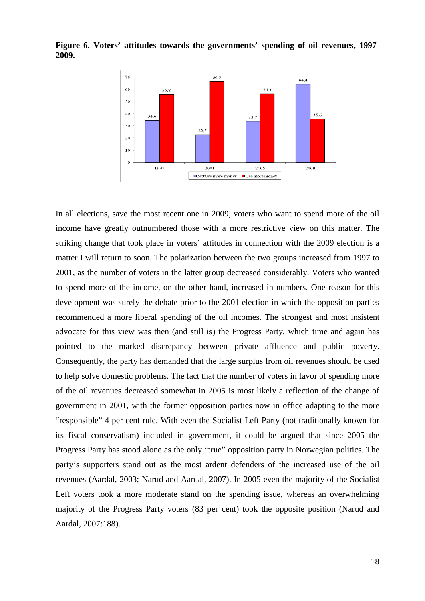

**Figure 6. Voters' attitudes towards the governments' spending of oil revenues, 1997- 2009.** 

In all elections, save the most recent one in 2009, voters who want to spend more of the oil income have greatly outnumbered those with a more restrictive view on this matter. The striking change that took place in voters' attitudes in connection with the 2009 election is a matter I will return to soon. The polarization between the two groups increased from 1997 to 2001, as the number of voters in the latter group decreased considerably. Voters who wanted to spend more of the income, on the other hand, increased in numbers. One reason for this development was surely the debate prior to the 2001 election in which the opposition parties recommended a more liberal spending of the oil incomes. The strongest and most insistent advocate for this view was then (and still is) the Progress Party, which time and again has pointed to the marked discrepancy between private affluence and public poverty. Consequently, the party has demanded that the large surplus from oil revenues should be used to help solve domestic problems. The fact that the number of voters in favor of spending more of the oil revenues decreased somewhat in 2005 is most likely a reflection of the change of government in 2001, with the former opposition parties now in office adapting to the more "responsible" 4 per cent rule. With even the Socialist Left Party (not traditionally known for its fiscal conservatism) included in government, it could be argued that since 2005 the Progress Party has stood alone as the only "true" opposition party in Norwegian politics. The party's supporters stand out as the most ardent defenders of the increased use of the oil revenues (Aardal, 2003; Narud and Aardal, 2007). In 2005 even the majority of the Socialist Left voters took a more moderate stand on the spending issue, whereas an overwhelming majority of the Progress Party voters (83 per cent) took the opposite position (Narud and Aardal, 2007:188).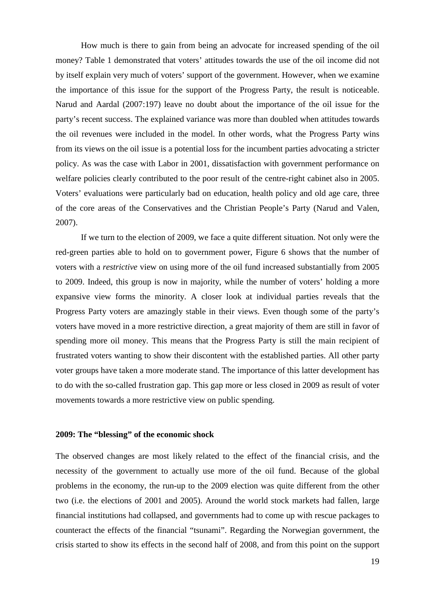How much is there to gain from being an advocate for increased spending of the oil money? Table 1 demonstrated that voters' attitudes towards the use of the oil income did not by itself explain very much of voters' support of the government. However, when we examine the importance of this issue for the support of the Progress Party, the result is noticeable. Narud and Aardal (2007:197) leave no doubt about the importance of the oil issue for the party's recent success. The explained variance was more than doubled when attitudes towards the oil revenues were included in the model. In other words, what the Progress Party wins from its views on the oil issue is a potential loss for the incumbent parties advocating a stricter policy. As was the case with Labor in 2001, dissatisfaction with government performance on welfare policies clearly contributed to the poor result of the centre-right cabinet also in 2005. Voters' evaluations were particularly bad on education, health policy and old age care, three of the core areas of the Conservatives and the Christian People's Party (Narud and Valen, 2007).

If we turn to the election of 2009, we face a quite different situation. Not only were the red-green parties able to hold on to government power, Figure 6 shows that the number of voters with a *restrictive* view on using more of the oil fund increased substantially from 2005 to 2009. Indeed, this group is now in majority, while the number of voters' holding a more expansive view forms the minority. A closer look at individual parties reveals that the Progress Party voters are amazingly stable in their views. Even though some of the party's voters have moved in a more restrictive direction, a great majority of them are still in favor of spending more oil money. This means that the Progress Party is still the main recipient of frustrated voters wanting to show their discontent with the established parties. All other party voter groups have taken a more moderate stand. The importance of this latter development has to do with the so-called frustration gap. This gap more or less closed in 2009 as result of voter movements towards a more restrictive view on public spending.

### **2009: The "blessing" of the economic shock**

The observed changes are most likely related to the effect of the financial crisis, and the necessity of the government to actually use more of the oil fund. Because of the global problems in the economy, the run-up to the 2009 election was quite different from the other two (i.e. the elections of 2001 and 2005). Around the world stock markets had fallen, large financial institutions had collapsed, and governments had to come up with rescue packages to counteract the effects of the financial "tsunami". Regarding the Norwegian government, the crisis started to show its effects in the second half of 2008, and from this point on the support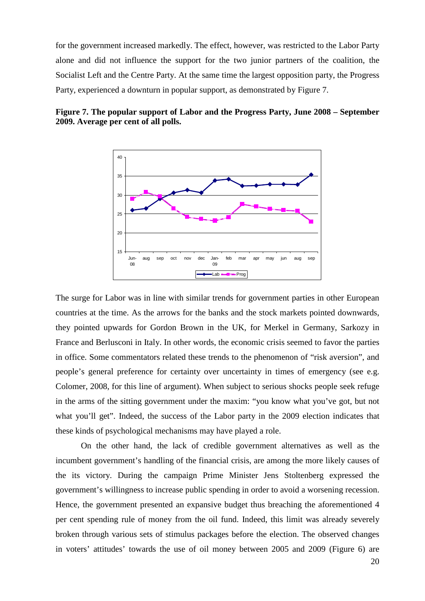for the government increased markedly. The effect, however, was restricted to the Labor Party alone and did not influence the support for the two junior partners of the coalition, the Socialist Left and the Centre Party. At the same time the largest opposition party, the Progress Party, experienced a downturn in popular support, as demonstrated by Figure 7.





The surge for Labor was in line with similar trends for government parties in other European countries at the time. As the arrows for the banks and the stock markets pointed downwards, they pointed upwards for Gordon Brown in the UK, for Merkel in Germany, Sarkozy in France and Berlusconi in Italy. In other words, the economic crisis seemed to favor the parties in office. Some commentators related these trends to the phenomenon of "risk aversion", and people's general preference for certainty over uncertainty in times of emergency (see e.g. Colomer, 2008, for this line of argument). When subject to serious shocks people seek refuge in the arms of the sitting government under the maxim: "you know what you've got, but not what you'll get". Indeed, the success of the Labor party in the 2009 election indicates that these kinds of psychological mechanisms may have played a role.

On the other hand, the lack of credible government alternatives as well as the incumbent government's handling of the financial crisis, are among the more likely causes of the its victory. During the campaign Prime Minister Jens Stoltenberg expressed the government's willingness to increase public spending in order to avoid a worsening recession. Hence, the government presented an expansive budget thus breaching the aforementioned 4 per cent spending rule of money from the oil fund. Indeed, this limit was already severely broken through various sets of stimulus packages before the election. The observed changes in voters' attitudes' towards the use of oil money between 2005 and 2009 (Figure 6) are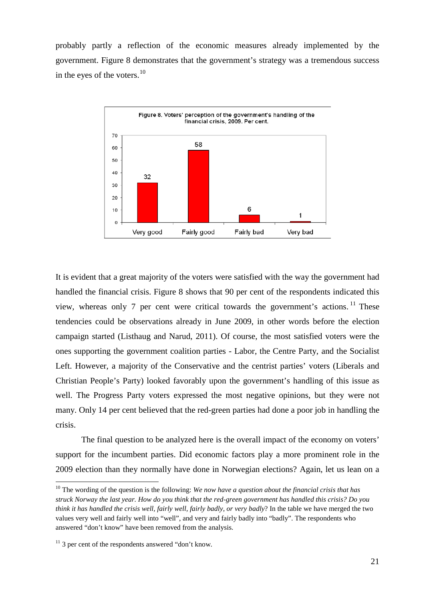probably partly a reflection of the economic measures already implemented by the government. Figure 8 demonstrates that the government's strategy was a tremendous success in the eyes of the voters. $10$ 



It is evident that a great majority of the voters were satisfied with the way the government had handled the financial crisis. Figure 8 shows that 90 per cent of the respondents indicated this view, whereas only 7 per cent were critical towards the government's actions.<sup>[11](#page-21-1)</sup> These tendencies could be observations already in June 2009, in other words before the election campaign started (Listhaug and Narud, 2011). Of course, the most satisfied voters were the ones supporting the government coalition parties - Labor, the Centre Party, and the Socialist Left. However, a majority of the Conservative and the centrist parties' voters (Liberals and Christian People's Party) looked favorably upon the government's handling of this issue as well. The Progress Party voters expressed the most negative opinions, but they were not many. Only 14 per cent believed that the red-green parties had done a poor job in handling the crisis.

The final question to be analyzed here is the overall impact of the economy on voters' support for the incumbent parties. Did economic factors play a more prominent role in the 2009 election than they normally have done in Norwegian elections? Again, let us lean on a

<span id="page-21-0"></span><sup>&</sup>lt;sup>10</sup> The wording of the question is the following: *We now have a question about the financial crisis that has struck Norway the last year. How do you think that the red-green government has handled this crisis? Do you think it has handled the crisis well, fairly well, fairly badly, or very badly*? In the table we have merged the two values very well and fairly well into "well", and very and fairly badly into "badly". The respondents who answered "don't know" have been removed from the analysis.

<span id="page-21-1"></span> $11$  3 per cent of the respondents answered "don't know.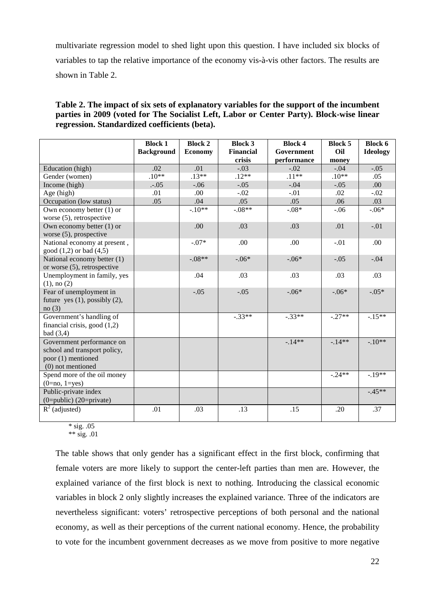multivariate regression model to shed light upon this question. I have included six blocks of variables to tap the relative importance of the economy vis-à-vis other factors. The results are shown in Table 2.

### **Table 2. The impact of six sets of explanatory variables for the support of the incumbent parties in 2009 (voted for The Socialist Left, Labor or Center Party). Block-wise linear regression. Standardized coefficients (beta).**

|                                                                                                      | <b>Block 1</b>    | <b>Block 2</b> | <b>Block 3</b>   | <b>Block 4</b> | <b>Block 5</b> | <b>Block 6</b>  |
|------------------------------------------------------------------------------------------------------|-------------------|----------------|------------------|----------------|----------------|-----------------|
|                                                                                                      | <b>Background</b> | <b>Economy</b> | <b>Financial</b> | Government     | Oil            | <b>Ideology</b> |
|                                                                                                      |                   |                | crisis           | performance    | money          |                 |
| Education (high)                                                                                     | .02               | .01            | $-.03$           | $-.02$         | $-.04$         | $-.05$          |
| Gender (women)                                                                                       | $.10**$           | $.13**$        | $.12**$          | $.11**$        | $.10**$        | .05             |
| Income (high)                                                                                        | $-.05$            | $-.06$         | $-.05$           | $-.04$         | $-.05$         | .00             |
| Age (high)                                                                                           | .01               | .00            | $-.02$           | $-.01$         | .02            | $-.02$          |
| Occupation (low status)                                                                              | .05               | .04            | .05              | .05            | .06            | .03             |
| Own economy better $(1)$ or<br>worse (5), retrospective                                              |                   | $-10**$        | $-.08**$         | $-.08*$        | $-.06$         | $-.06*$         |
| Own economy better $(1)$ or<br>worse $(5)$ , prospective                                             |                   | .00            | .03              | .03            | .01            | $-.01$          |
| National economy at present,<br>good $(1,2)$ or bad $(4,5)$                                          |                   | $-.07*$        | .00              | .00            | $-.01$         | .00             |
| National economy better (1)<br>or worse (5), retrospective                                           |                   | $-.08**$       | $-.06*$          | $-.06*$        | $-.05$         | $-.04$          |
| Unemployment in family, yes<br>$(1)$ , no $(2)$                                                      |                   | .04            | .03              | .03            | .03            | .03             |
| Fear of unemployment in<br>future yes $(1)$ , possibly $(2)$ ,<br>no(3)                              |                   | $-.05$         | $-.05$           | $-.06*$        | $-.06*$        | $-.05*$         |
| Government's handling of<br>financial crisis, good $(1,2)$<br>bad $(3,4)$                            |                   |                | $-.33**$         | $-.33**$       | $-.27**$       | $-.15**$        |
| Government performance on<br>school and transport policy,<br>poor (1) mentioned<br>(0) not mentioned |                   |                |                  | $-14**$        | $-14**$        | $-.10**$        |
| Spend more of the oil money<br>$(0=no, 1=yes)$                                                       |                   |                |                  |                | $-.24**$       | $-.19**$        |
| Public-private index<br>$(0 = public) (20 = private)$                                                |                   |                |                  |                |                | $-.45**$        |
| $\overline{R^2}$ (adjusted)                                                                          | .01               | .03            | .13              | .15            | .20            | .37             |

 $*$  sig. .05 \*\* sig.  $.01$ 

The table shows that only gender has a significant effect in the first block, confirming that female voters are more likely to support the center-left parties than men are. However, the explained variance of the first block is next to nothing. Introducing the classical economic variables in block 2 only slightly increases the explained variance. Three of the indicators are nevertheless significant: voters' retrospective perceptions of both personal and the national economy, as well as their perceptions of the current national economy. Hence, the probability to vote for the incumbent government decreases as we move from positive to more negative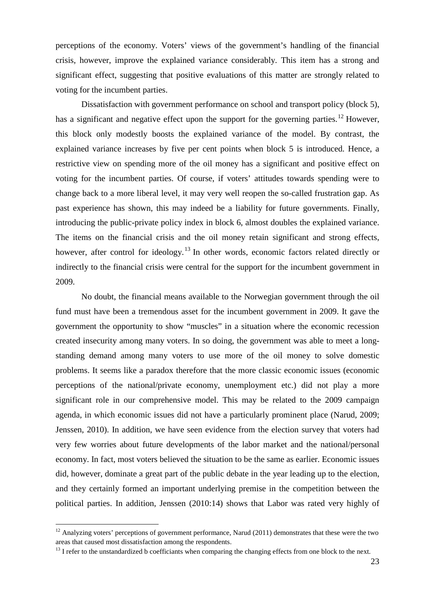perceptions of the economy. Voters' views of the government's handling of the financial crisis, however, improve the explained variance considerably. This item has a strong and significant effect, suggesting that positive evaluations of this matter are strongly related to voting for the incumbent parties.

Dissatisfaction with government performance on school and transport policy (block 5), has a significant and negative effect upon the support for the governing parties.<sup>[12](#page-23-0)</sup> However, this block only modestly boosts the explained variance of the model. By contrast, the explained variance increases by five per cent points when block 5 is introduced. Hence, a restrictive view on spending more of the oil money has a significant and positive effect on voting for the incumbent parties. Of course, if voters' attitudes towards spending were to change back to a more liberal level, it may very well reopen the so-called frustration gap. As past experience has shown, this may indeed be a liability for future governments. Finally, introducing the public-private policy index in block 6, almost doubles the explained variance. The items on the financial crisis and the oil money retain significant and strong effects, however, after control for ideology.<sup>[13](#page-23-1)</sup> In other words, economic factors related directly or indirectly to the financial crisis were central for the support for the incumbent government in 2009.

No doubt, the financial means available to the Norwegian government through the oil fund must have been a tremendous asset for the incumbent government in 2009. It gave the government the opportunity to show "muscles" in a situation where the economic recession created insecurity among many voters. In so doing, the government was able to meet a longstanding demand among many voters to use more of the oil money to solve domestic problems. It seems like a paradox therefore that the more classic economic issues (economic perceptions of the national/private economy, unemployment etc.) did not play a more significant role in our comprehensive model. This may be related to the 2009 campaign agenda, in which economic issues did not have a particularly prominent place (Narud, 2009; Jenssen, 2010). In addition, we have seen evidence from the election survey that voters had very few worries about future developments of the labor market and the national/personal economy. In fact, most voters believed the situation to be the same as earlier. Economic issues did, however, dominate a great part of the public debate in the year leading up to the election, and they certainly formed an important underlying premise in the competition between the political parties. In addition, Jenssen (2010:14) shows that Labor was rated very highly of

<span id="page-23-0"></span> $12$  Analyzing voters' perceptions of government performance, Narud (2011) demonstrates that these were the two areas that caused most dissatisfaction among the respondents.

<span id="page-23-1"></span> $<sup>13</sup>$  I refer to the unstandardized b coefficiants when comparing the changing effects from one block to the next.</sup>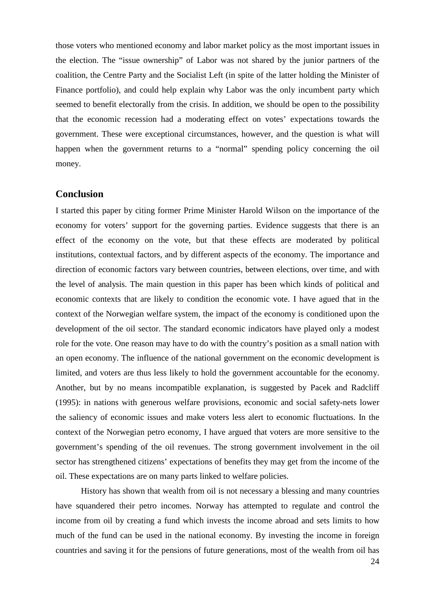those voters who mentioned economy and labor market policy as the most important issues in the election. The "issue ownership" of Labor was not shared by the junior partners of the coalition, the Centre Party and the Socialist Left (in spite of the latter holding the Minister of Finance portfolio), and could help explain why Labor was the only incumbent party which seemed to benefit electorally from the crisis. In addition, we should be open to the possibility that the economic recession had a moderating effect on votes' expectations towards the government. These were exceptional circumstances, however, and the question is what will happen when the government returns to a "normal" spending policy concerning the oil money.

### **Conclusion**

I started this paper by citing former Prime Minister Harold Wilson on the importance of the economy for voters' support for the governing parties. Evidence suggests that there is an effect of the economy on the vote, but that these effects are moderated by political institutions, contextual factors, and by different aspects of the economy. The importance and direction of economic factors vary between countries, between elections, over time, and with the level of analysis. The main question in this paper has been which kinds of political and economic contexts that are likely to condition the economic vote. I have agued that in the context of the Norwegian welfare system, the impact of the economy is conditioned upon the development of the oil sector. The standard economic indicators have played only a modest role for the vote. One reason may have to do with the country's position as a small nation with an open economy. The influence of the national government on the economic development is limited, and voters are thus less likely to hold the government accountable for the economy. Another, but by no means incompatible explanation, is suggested by Pacek and Radcliff (1995): in nations with generous welfare provisions, economic and social safety-nets lower the saliency of economic issues and make voters less alert to economic fluctuations. In the context of the Norwegian petro economy, I have argued that voters are more sensitive to the government's spending of the oil revenues. The strong government involvement in the oil sector has strengthened citizens' expectations of benefits they may get from the income of the oil. These expectations are on many parts linked to welfare policies.

History has shown that wealth from oil is not necessary a blessing and many countries have squandered their petro incomes. Norway has attempted to regulate and control the income from oil by creating a fund which invests the income abroad and sets limits to how much of the fund can be used in the national economy. By investing the income in foreign countries and saving it for the pensions of future generations, most of the wealth from oil has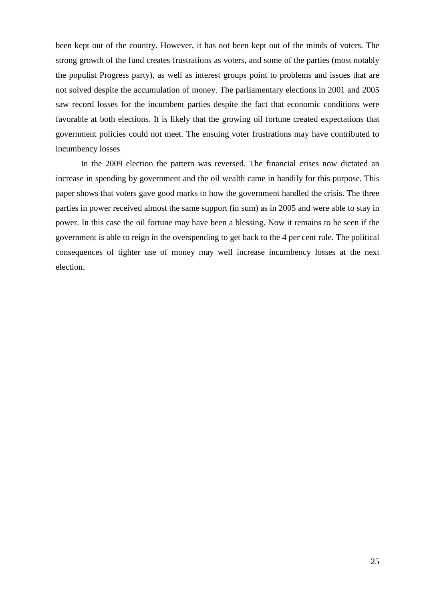been kept out of the country. However, it has not been kept out of the minds of voters. The strong growth of the fund creates frustrations as voters, and some of the parties (most notably the populist Progress party), as well as interest groups point to problems and issues that are not solved despite the accumulation of money. The parliamentary elections in 2001 and 2005 saw record losses for the incumbent parties despite the fact that economic conditions were favorable at both elections. It is likely that the growing oil fortune created expectations that government policies could not meet. The ensuing voter frustrations may have contributed to incumbency losses

In the 2009 election the pattern was reversed. The financial crises now dictated an increase in spending by government and the oil wealth came in handily for this purpose. This paper shows that voters gave good marks to how the government handled the crisis. The three parties in power received almost the same support (in sum) as in 2005 and were able to stay in power. In this case the oil fortune may have been a blessing. Now it remains to be seen if the government is able to reign in the overspending to get back to the 4 per cent rule. The political consequences of tighter use of money may well increase incumbency losses at the next election.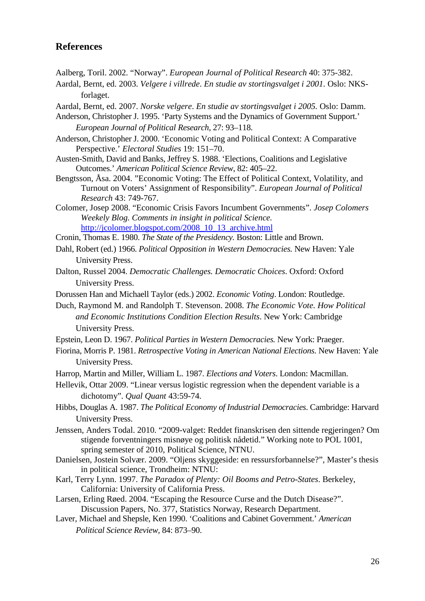## **References**

Aalberg, Toril. 2002. "Norway". *European Journal of Political Research* 40: 375-382.

Aardal, Bernt, ed. 2003. *Velgere i villrede*. *En studie av stortingsvalget i 2001.* Oslo: NKSforlaget.

Aardal, Bernt, ed. 2007. *Norske velgere*. *En studie av stortingsvalget i 2005.* Oslo: Damm.

- Anderson, Christopher J. 1995. 'Party Systems and the Dynamics of Government Support.' *European Journal of Political Research*, 27: 93–118.
- Anderson, Christopher J. 2000. 'Economic Voting and Political Context: A Comparative Perspective.' *Electoral Studies* 19: 151–70.
- Austen-Smith, David and Banks, Jeffrey S. 1988. 'Elections, Coalitions and Legislative Outcomes.' *American Political Science Review*, 82: 405–22.
- Bengtsson, Åsa. 2004. "Economic Voting: The Effect of Political Context, Volatility, and Turnout on Voters' Assignment of Responsibility". *European Journal of Political Research* 43: 749-767.
- Colomer, Josep 2008. "Economic Crisis Favors Incumbent Governments". *Josep Colomers Weekely Blog. Comments in insight in political Science.* [http://jcolomer.blogspot.com/2008\\_10\\_13\\_archive.html](http://jcolomer.blogspot.com/2008_10_13_archive.html)

Cronin, Thomas E. 1980. *The State of the Presidency.* Boston: Little and Brown.

- Dahl, Robert (ed.) 1966. *Political Opposition in Western Democracies.* New Haven: Yale University Press.
- Dalton, Russel 2004. *Democratic Challenges. Democratic Choices*. Oxford: Oxford University Press.
- Dorussen Han and Michaell Taylor (eds.) 2002. *Economic Voting*. London: Routledge.

Duch, Raymond M. and Randolph T. Stevenson. 2008. *The Economic Vote. How Political and Economic Institutions Condition Election Results*. New York: Cambridge University Press.

- Epstein, Leon D. 1967. *Political Parties in Western Democracies.* New York: Praeger.
- Fiorina, Morris P. 1981. *Retrospective Voting in American National Elections.* New Haven: Yale University Press.
- Harrop, Martin and Miller, William L. 1987. *Elections and Voters*. London: Macmillan.
- Hellevik, Ottar 2009. "Linear versus logistic regression when the dependent variable is a dichotomy". *Qual Quant* 43:59-74.
- Hibbs, Douglas A. 1987. *The Political Economy of Industrial Democracies*. Cambridge: Harvard University Press.
- Jenssen, Anders Todal. 2010. "2009-valget: Reddet finanskrisen den sittende regjeringen? Om stigende forventningers misnøye og politisk nådetid." Working note to POL 1001, spring semester of 2010, Political Science, NTNU.
- Danielsen, Jostein Solvær. 2009. "Oljens skyggeside: en ressursforbannelse?", Master's thesis in political science, Trondheim: NTNU:
- Karl, Terry Lynn. 1997. *The Paradox of Plenty: Oil Booms and Petro-States*. Berkeley, California: University of California Press.
- Larsen, Erling Røed. 2004. "Escaping the Resource Curse and the Dutch Disease?". Discussion Papers, No. 377, Statistics Norway, Research Department.
- Laver, Michael and Shepsle, Ken 1990. 'Coalitions and Cabinet Government.' *American Political Science Review,* 84: 873–90.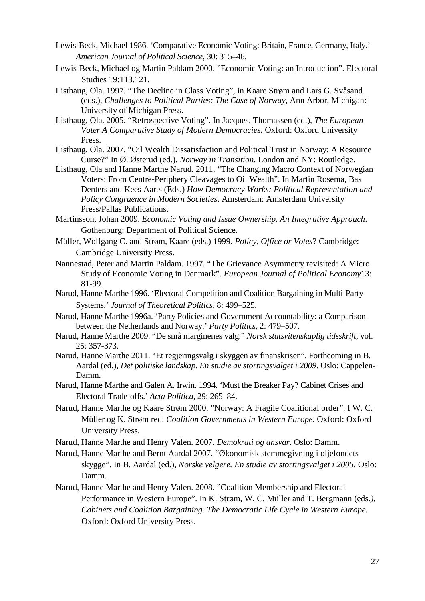- Lewis-Beck, Michael 1986. 'Comparative Economic Voting: Britain, France, Germany, Italy.' *American Journal of Political Science*, 30: 315–46.
- Lewis-Beck, Michael og Martin Paldam 2000. "Economic Voting: an Introduction". Electoral Studies 19:113.121.
- Listhaug, Ola. 1997. "The Decline in Class Voting", in Kaare Strøm and Lars G. Svåsand (eds.), *Challenges to Political Parties: The Case of Norway*, Ann Arbor, Michigan: University of Michigan Press.
- Listhaug, Ola. 2005. "Retrospective Voting". In Jacques. Thomassen (ed.), *The European Voter A Comparative Study of Modern Democracies.* Oxford: Oxford University Press.
- Listhaug, Ola. 2007. "Oil Wealth Dissatisfaction and Political Trust in Norway: A Resource Curse?" In Ø. Østerud (ed.), *Norway in Transition*. London and NY: Routledge.
- Listhaug, Ola and Hanne Marthe Narud. 2011. "The Changing Macro Context of Norwegian Voters: From Centre-Periphery Cleavages to Oil Wealth". In Martin Rosema, Bas Denters and Kees Aarts (Eds.) *How Democracy Works: Political Representation and Policy Congruence in Modern Societies*. Amsterdam: Amsterdam University Press/Pallas Publications.
- Martinsson, Johan 2009. *Economic Voting and Issue Ownership. An Integrative Approach*. Gothenburg: Department of Political Science.
- Müller, Wolfgang C. and Strøm, Kaare (eds.) 1999. *Policy, Office or Votes*? Cambridge: Cambridge University Press.
- Nannestad, Peter and Martin Paldam. 1997. "The Grievance Asymmetry revisited: A Micro Study of Economic Voting in Denmark". *European Journal of Political Economy*13: 81-99.
- Narud, Hanne Marthe 1996. 'Electoral Competition and Coalition Bargaining in Multi-Party Systems.' *Journal of Theoretical Politics,* 8: 499–525.
- Narud, Hanne Marthe 1996a. 'Party Policies and Government Accountability: a Comparison between the Netherlands and Norway.' *Party Politics*, 2: 479–507.
- Narud, Hanne Marthe 2009. "De små marginenes valg." *Norsk statsvitenskaplig tidsskrift*, vol. 25: 357-373.
- Narud, Hanne Marthe 2011. "Et regjeringsvalg i skyggen av finanskrisen". Forthcoming in B. Aardal (ed.), *Det politiske landskap. En studie av stortingsvalget i 2009*. Oslo: Cappelen-Damm.
- Narud, Hanne Marthe and Galen A. Irwin. 1994. 'Must the Breaker Pay? Cabinet Crises and Electoral Trade-offs.' *Acta Politica*, 29: 265–84.
- Narud, Hanne Marthe og Kaare Strøm 2000. "Norway: A Fragile Coalitional order". I W. C. Müller og K. Strøm red. *Coalition Governments in Western Europe.* Oxford: Oxford University Press.
- Narud, Hanne Marthe and Henry Valen. 2007. *Demokrati og ansvar*. Oslo: Damm.
- Narud, Hanne Marthe and Bernt Aardal 2007. "Økonomisk stemmegivning i oljefondets skygge". In B. Aardal (ed.), *Norske velgere. En studie av stortingsvalget i 2005.* Oslo: Damm.
- Narud, Hanne Marthe and Henry Valen. 2008. "Coalition Membership and Electoral Performance in Western Europe". In K. Strøm, W, C. Müller and T. Bergmann (eds*.), Cabinets and Coalition Bargaining. The Democratic Life Cycle in Western Europe.*  Oxford: Oxford University Press.